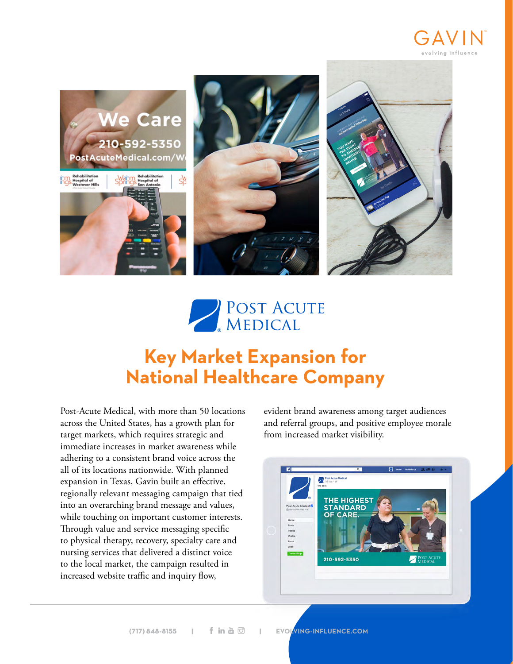





## **Key Market Expansion for National Healthcare Company**

Post-Acute Medical, with more than 50 locations across the United States, has a growth plan for target markets, which requires strategic and immediate increases in market awareness while adhering to a consistent brand voice across the all of its locations nationwide. With planned expansion in Texas, Gavin built an effective, regionally relevant messaging campaign that tied into an overarching brand message and values, while touching on important customer interests. Through value and service messaging specific to physical therapy, recovery, specialty care and nursing services that delivered a distinct voice to the local market, the campaign resulted in increased website traffic and inquiry flow,

evident brand awareness among target audiences and referral groups, and positive employee morale from increased market visibility.